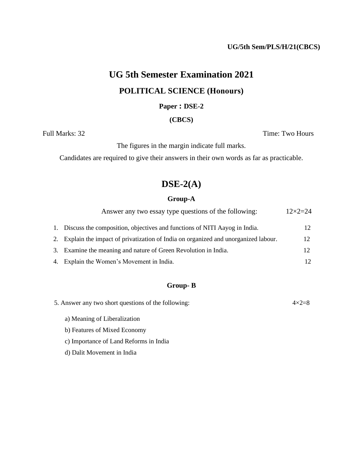# **UG 5th Semester Examination 2021**

### **POLITICAL SCIENCE (Honours)**

**Paper : DSE-2** 

#### **(CBCS)**

Full Marks: 32 Time: Two Hours

The figures in the margin indicate full marks.

Candidates are required to give their answers in their own words as far as practicable.

# **DSE-2(A)**

#### **Group-A**

| Answer any two essay type questions of the following:                                | $12 \times 2 = 24$ |
|--------------------------------------------------------------------------------------|--------------------|
| 1. Discuss the composition, objectives and functions of NITI Aayog in India.         |                    |
| 2. Explain the impact of privatization of India on organized and unorganized labour. | 12                 |
| 3. Examine the meaning and nature of Green Revolution in India.                      |                    |
| 4. Explain the Women's Movement in India.                                            |                    |

### **Group- B**

| 5. Answer any two short questions of the following: | $4 \times 2 = 8$ |
|-----------------------------------------------------|------------------|
|-----------------------------------------------------|------------------|

- a) Meaning of Liberalization
- b) Features of Mixed Economy
- c) Importance of Land Reforms in India
- d) Dalit Movement in India